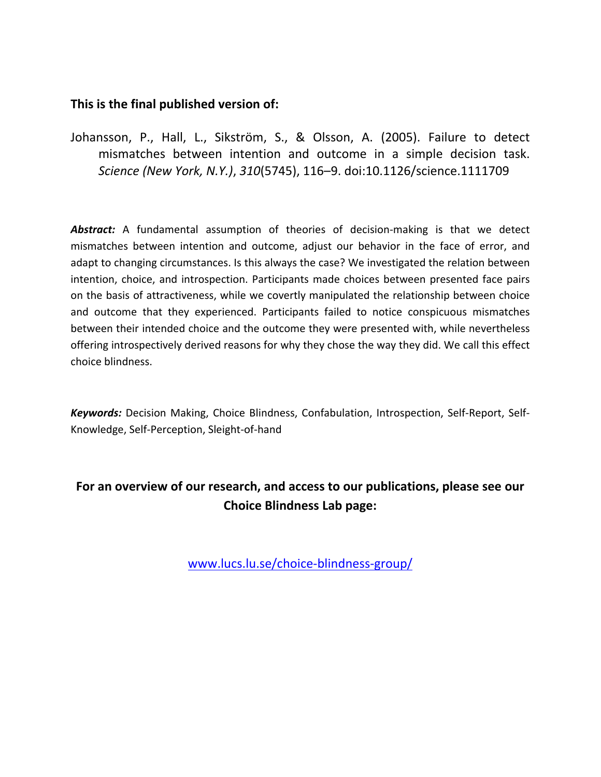## **This is the final published version of:**

Johansson, P., Hall, L., Sikström, S., & Olsson, A. (2005). Failure to detect mismatches between intention and outcome in a simple decision task. *Science (New York, N.Y.)*, *310*(5745), 116–9. doi:10.1126/science.1111709

*Abstract:* A fundamental assumption of theories of decision-making is that we detect mismatches between intention and outcome, adjust our behavior in the face of error, and adapt to changing circumstances. Is this always the case? We investigated the relation between intention, choice, and introspection. Participants made choices between presented face pairs on the basis of attractiveness, while we covertly manipulated the relationship between choice and outcome that they experienced. Participants failed to notice conspicuous mismatches between their intended choice and the outcome they were presented with, while nevertheless offering introspectively derived reasons for why they chose the way they did. We call this effect choice blindness.

*Keywords:* Decision Making, Choice Blindness, Confabulation, Introspection, Self-Report, Self-Knowledge, Self-Perception, Sleight-of-hand

# **For an overview of our research, and access to our publications, please see our Choice Blindness Lab page:**

[www.lucs.lu.se/choice-blindness-group/](http://www.lucs.lu.se/choice-blindness-group/)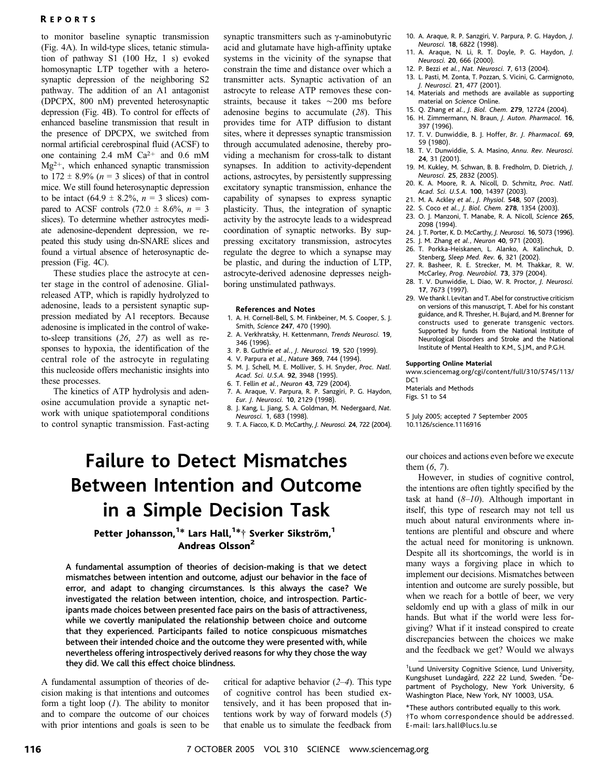#### **REPORTS**

to monitor baseline synaptic transmission (Fig. 4A). In wild-type slices, tetanic stimulation of pathway S1 (100 Hz, 1 s) evoked homosynaptic LTP together with a heterosynaptic depression of the neighboring S2 pathway. The addition of an A1 antagonist (DPCPX, 800 nM) prevented heterosynaptic depression (Fig. 4B). To control for effects of enhanced baseline transmission that result in the presence of DPCPX, we switched from normal artificial cerebrospinal fluid (ACSF) to one containing 2.4 mM  $Ca^{2+}$  and 0.6 mM  $Mg^{2+}$ , which enhanced synaptic transmission to  $172 \pm 8.9\%$  ( $n = 3$  slices) of that in control mice. We still found heterosynaptic depression to be intact (64.9  $\pm$  8.2%, n = 3 slices) compared to ACSF controls  $(72.0 \pm 8.6\%, n = 3$ slices). To determine whether astrocytes mediate adenosine-dependent depression, we repeated this study using dn-SNARE slices and found a virtual absence of heterosynaptic depression (Fig. 4C).

These studies place the astrocyte at center stage in the control of adenosine. Glialreleased ATP, which is rapidly hydrolyzed to adenosine, leads to a persistent synaptic suppression mediated by A1 receptors. Because adenosine is implicated in the control of waketo-sleep transitions (26, 27) as well as responses to hypoxia, the identification of the central role of the astrocyte in regulating this nucleoside offers mechanistic insights into these processes.

The kinetics of ATP hydrolysis and adenosine accumulation provide a synaptic network with unique spatiotemporal conditions to control synaptic transmission. Fast-acting synaptic transmitters such as  $\gamma$ -aminobutyric acid and glutamate have high-affinity uptake systems in the vicinity of the synapse that constrain the time and distance over which a transmitter acts. Synaptic activation of an astrocyte to release ATP removes these constraints, because it takes  $\sim$  200 ms before adenosine begins to accumulate (28). This provides time for ATP diffusion to distant sites, where it depresses synaptic transmission through accumulated adenosine, thereby providing a mechanism for cross-talk to distant synapses. In addition to activity-dependent actions, astrocytes, by persistently suppressing excitatory synaptic transmission, enhance the capability of synapses to express synaptic plasticity. Thus, the integration of synaptic activity by the astrocyte leads to a widespread coordination of synaptic networks. By suppressing excitatory transmission, astrocytes regulate the degree to which a synapse may be plastic, and during the induction of LTP, astrocyte-derived adenosine depresses neighboring unstimulated pathways.

#### References and Notes

- 1. A. H. Cornell-Bell, S. M. Finkbeiner, M. S. Cooper, S. J. Smith, Science 247, 470 (1990).
- 2. A. Verkhratsky, H. Kettenmann, Trends Neurosci. 19, 346 (1996).
- 3. P. B. Guthrie et al., J. Neurosci. 19, 520 (1999).
- 4. V. Parpura et al., Nature 369, 744 (1994).
- 5. M. J. Schell, M. E. Molliver, S. H. Snyder, Proc. Natl. Acad. Sci. U.S.A. 92, 3948 (1995).
- 6. T. Fellin et al., Neuron 43, 729 (2004). 7. A. Araque, V. Parpura, R. P. Sanzgiri, P. G. Haydon, Eur. J. Neurosci. 10, 2129 (1998).
- 8. J. Kang, L. Jiang, S. A. Goldman, M. Nedergaard, Nat. Neurosci. 1, 683 (1998).
- 9. T. A. Fiacco, K. D. McCarthy, J. Neurosci. 24, 722 (2004).

# Failure to Detect Mismatches Between Intention and Outcome in a Simple Decision Task

#### Petter Johansson, $^{1\ast}$  Lars Hall, $^{1\ast}{}_{\dagger}$  Sverker Sikström, $^{1}$ Andreas Olsson<sup>2</sup>

A fundamental assumption of theories of decision-making is that we detect mismatches between intention and outcome, adjust our behavior in the face of error, and adapt to changing circumstances. Is this always the case? We investigated the relation between intention, choice, and introspection. Participants made choices between presented face pairs on the basis of attractiveness, while we covertly manipulated the relationship between choice and outcome that they experienced. Participants failed to notice conspicuous mismatches between their intended choice and the outcome they were presented with, while nevertheless offering introspectively derived reasons for why they chose the way they did. We call this effect choice blindness.

A fundamental assumption of theories of decision making is that intentions and outcomes form a tight loop  $(1)$ . The ability to monitor and to compare the outcome of our choices with prior intentions and goals is seen to be

critical for adaptive behavior  $(2-4)$ . This type of cognitive control has been studied extensively, and it has been proposed that intentions work by way of forward models (5) that enable us to simulate the feedback from

- 10. A. Araque, R. P. Sanzgiri, V. Parpura, P. G. Haydon, J. Neurosci. 18, 6822 (1998).
- 11. A. Araque, N. Li, R. T. Doyle, P. G. Haydon, J. Neurosci. 20, 666 (2000).
- 12. P. Bezzi et al., Nat. Neurosci. 7, 613 (2004).
- 13. L. Pasti, M. Zonta, T. Pozzan, S. Vicini, G. Carmignoto, J. Neurosci. 21, 477 (2001).
- 14. Materials and methods are available as supporting material on Science Online.
- 15. Q. Zhang et al., J. Biol. Chem. 279, 12724 (2004).
- 16. H. Zimmermann, N. Braun, J. Auton. Pharmacol. 16, 397 (1996).
- 17. T. V. Dunwiddie, B. J. Hoffer, Br. J. Pharmacol. 69, 59 (1980).
- 18. T. V. Dunwiddie, S. A. Masino, Annu. Rev. Neurosci. 24, 31 (2001).
- 19. M. Kukley, M. Schwan, B. B. Fredholm, D. Dietrich, J. Neurosci. 25, 2832 (2005).
- 20. K. A. Moore, R. A. Nicoll, D. Schmitz, Proc. Natl. Acad. Sci. U.S.A. 100, 14397 (2003).
- 21. M. A. Ackley et al., J. Physiol. 548, 507 (2003).
- 22. S. Coco et al., J. Biol. Chem. 278, 1354 (2003).
- 23. O. J. Manzoni, T. Manabe, R. A. Nicoll, Science 265, 2098 (1994).
- 24. J. T. Porter, K. D. McCarthy, J. Neurosci. 16, 5073 (1996).
- 25. J. M. Zhang et al., Neuron 40, 971 (2003).
- 26. T. Porkka-Heiskanen, L. Alanko, A. Kalinchuk, D. Stenberg, Sleep Med. Rev. 6, 321 (2002).
- 27. R. Basheer, R. E. Strecker, M. M. Thakkar, R. W. McCarley, Prog. Neurobiol. 73, 379 (2004).
- 28. T. V. Dunwiddie, L. Diao, W. R. Proctor, J. Neurosci. 17, 7673 (1997).
- 29. We thank I. Levitan and T. Abel for constructive criticism on versions of this manuscript, T. Abel for his constant guidance, and R. Thresher, H. Bujard, and M. Brenner for constructs used to generate transgenic vectors. Supported by funds from the National Institute of Neurological Disorders and Stroke and the National Institute of Mental Health to K.M., S.J.M., and P.G.H.

#### Supporting Online Material

www.sciencemag.org/cgi/content/full/310/5745/113/ D<sub>C</sub>1 Materials and Methods

Figs. S1 to S4

5 July 2005; accepted 7 September 2005 10.1126/science.1116916

our choices and actions even before we execute them (6, 7).

However, in studies of cognitive control, the intentions are often tightly specified by the task at hand  $(8-10)$ . Although important in itself, this type of research may not tell us much about natural environments where intentions are plentiful and obscure and where the actual need for monitoring is unknown. Despite all its shortcomings, the world is in many ways a forgiving place in which to implement our decisions. Mismatches between intention and outcome are surely possible, but when we reach for a bottle of beer, we very seldomly end up with a glass of milk in our hands. But what if the world were less forgiving? What if it instead conspired to create discrepancies between the choices we make and the feedback we get? Would we always

<sup>&</sup>lt;sup>1</sup> Lund University Cognitive Science, Lund University, Kungshuset Lundagård, 222 22 Lund, Sweden. <sup>2</sup>Department of Psychology, New York University, 6 Washington Place, New York, NY 10003, USA.

<sup>\*</sup>These authors contributed equally to this work. .To whom correspondence should be addressed. E-mail: lars.hall@lucs.lu.se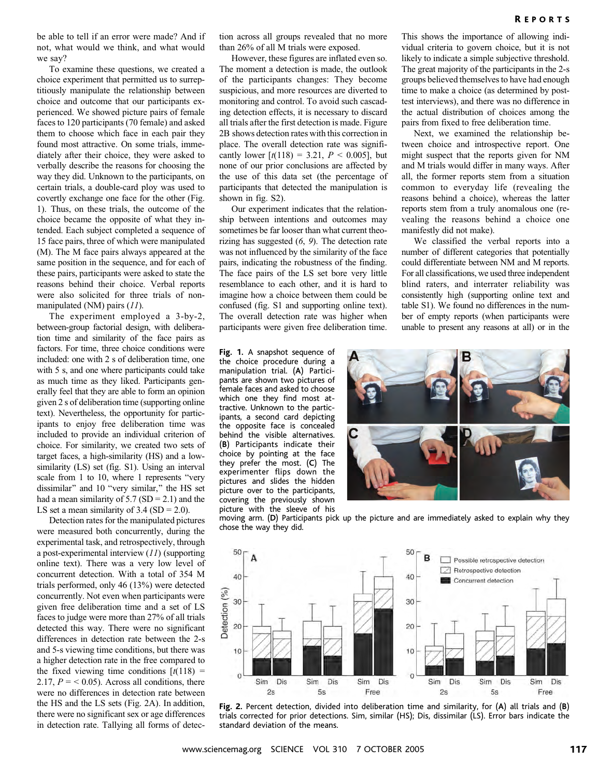be able to tell if an error were made? And if not, what would we think, and what would we say?

To examine these questions, we created a choice experiment that permitted us to surreptitiously manipulate the relationship between choice and outcome that our participants experienced. We showed picture pairs of female faces to 120 participants (70 female) and asked them to choose which face in each pair they found most attractive. On some trials, immediately after their choice, they were asked to verbally describe the reasons for choosing the way they did. Unknown to the participants, on certain trials, a double-card ploy was used to covertly exchange one face for the other (Fig. 1). Thus, on these trials, the outcome of the choice became the opposite of what they intended. Each subject completed a sequence of 15 face pairs, three of which were manipulated (M). The M face pairs always appeared at the same position in the sequence, and for each of these pairs, participants were asked to state the reasons behind their choice. Verbal reports were also solicited for three trials of nonmanipulated (NM) pairs  $(11)$ .

The experiment employed a 3-by-2, between-group factorial design, with deliberation time and similarity of the face pairs as factors. For time, three choice conditions were included: one with 2 s of deliberation time, one with 5 s, and one where participants could take as much time as they liked. Participants generally feel that they are able to form an opinion given 2 s of deliberation time (supporting online text). Nevertheless, the opportunity for participants to enjoy free deliberation time was included to provide an individual criterion of choice. For similarity, we created two sets of target faces, a high-similarity (HS) and a lowsimilarity (LS) set (fig. S1). Using an interval scale from 1 to 10, where 1 represents "very dissimilar" and 10 "very similar," the HS set had a mean similarity of  $5.7$  (SD = 2.1) and the LS set a mean similarity of  $3.4$  (SD = 2.0).

Detection rates for the manipulated pictures were measured both concurrently, during the experimental task, and retrospectively, through a post-experimental interview (11) (supporting online text). There was a very low level of concurrent detection. With a total of 354 M trials performed, only 46 (13%) were detected concurrently. Not even when participants were given free deliberation time and a set of LS faces to judge were more than 27% of all trials detected this way. There were no significant differences in detection rate between the 2-s and 5-s viewing time conditions, but there was a higher detection rate in the free compared to the fixed viewing time conditions  $[t(118) =$ 2.17,  $P = 0.05$ ). Across all conditions, there were no differences in detection rate between the HS and the LS sets (Fig. 2A). In addition, there were no significant sex or age differences in detection rate. Tallying all forms of detection across all groups revealed that no more than 26% of all M trials were exposed.

However, these figures are inflated even so. The moment a detection is made, the outlook of the participants changes: They become suspicious, and more resources are diverted to monitoring and control. To avoid such cascading detection effects, it is necessary to discard all trials after the first detection is made. Figure 2B shows detection rates with this correction in place. The overall detection rate was significantly lower  $[t(118) = 3.21, P < 0.005]$ , but none of our prior conclusions are affected by the use of this data set (the percentage of participants that detected the manipulation is shown in fig. S2).

Our experiment indicates that the relationship between intentions and outcomes may sometimes be far looser than what current theorizing has suggested (6, 9). The detection rate was not influenced by the similarity of the face pairs, indicating the robustness of the finding. The face pairs of the LS set bore very little resemblance to each other, and it is hard to imagine how a choice between them could be confused (fig. S1 and supporting online text). The overall detection rate was higher when participants were given free deliberation time.

Fig. 1. A snapshot sequence of the choice procedure during a manipulation trial. (A) Participants are shown two pictures of female faces and asked to choose which one they find most attractive. Unknown to the participants, a second card depicting the opposite face is concealed behind the visible alternatives. (B) Participants indicate their choice by pointing at the face they prefer the most. (C) The experimenter flips down the pictures and slides the hidden picture over to the participants, covering the previously shown picture with the sleeve of his This shows the importance of allowing individual criteria to govern choice, but it is not likely to indicate a simple subjective threshold. The great majority of the participants in the 2-s groups believed themselves to have had enough time to make a choice (as determined by posttest interviews), and there was no difference in the actual distribution of choices among the pairs from fixed to free deliberation time.

Next, we examined the relationship between choice and introspective report. One might suspect that the reports given for NM and M trials would differ in many ways. After all, the former reports stem from a situation common to everyday life (revealing the reasons behind a choice), whereas the latter reports stem from a truly anomalous one (revealing the reasons behind a choice one manifestly did not make).

We classified the verbal reports into a number of different categories that potentially could differentiate between NM and M reports. For all classifications, we used three independent blind raters, and interrater reliability was consistently high (supporting online text and table S1). We found no differences in the number of empty reports (when participants were unable to present any reasons at all) or in the



moving arm. (D) Participants pick up the picture and are immediately asked to explain why they chose the way they did.



Fig. 2. Percent detection, divided into deliberation time and similarity, for (A) all trials and (B) trials corrected for prior detections. Sim, similar (HS); Dis, dissimilar (LS). Error bars indicate the standard deviation of the means.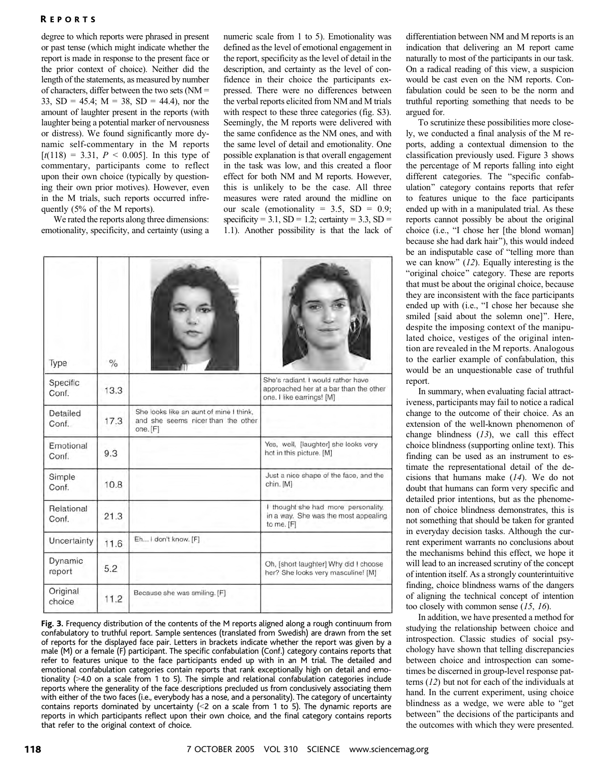#### **REPORTS**

degree to which reports were phrased in present or past tense (which might indicate whether the report is made in response to the present face or the prior context of choice). Neither did the length of the statements, as measured by number of characters, differ between the two sets  $(NM =$ 33, SD = 45.4; M = 38, SD = 44.4), nor the amount of laughter present in the reports (with laughter being a potential marker of nervousness or distress). We found significantly more dynamic self-commentary in the M reports  $[t(118) = 3.31, P < 0.005]$ . In this type of commentary, participants come to reflect upon their own choice (typically by questioning their own prior motives). However, even in the M trials, such reports occurred infrequently (5% of the M reports).

We rated the reports along three dimensions: emotionality, specificity, and certainty (using a

numeric scale from 1 to 5). Emotionality was defined as the level of emotional engagement in the report, specificity as the level of detail in the description, and certainty as the level of confidence in their choice the participants expressed. There were no differences between the verbal reports elicited from NM and M trials with respect to these three categories (fig. S3). Seemingly, the M reports were delivered with the same confidence as the NM ones, and with the same level of detail and emotionality. One possible explanation is that overall engagement in the task was low, and this created a floor effect for both NM and M reports. However, this is unlikely to be the case. All three measures were rated around the midline on our scale (emotionality =  $3.5$ , SD = 0.9; specificity = 3.1,  $SD = 1.2$ ; certainty = 3.3,  $SD =$ 1.1). Another possibility is that the lack of

| Type                | $\%$ |                                                                                           |                                                                                                           |
|---------------------|------|-------------------------------------------------------------------------------------------|-----------------------------------------------------------------------------------------------------------|
| Specific<br>Conf.   | 13.3 |                                                                                           | She's radiant. I would rather have<br>approached her at a bar than the other<br>one. I like earrings! [M] |
| Detailed<br>Conf.   | 17.3 | She looks like an aunt of mine I think,<br>and she seems nicer than the other<br>one. [F] |                                                                                                           |
| Emotional<br>Conf.  | 9.3  |                                                                                           | Yes, well, [laughter] she looks very<br>hot in this picture. [M]                                          |
| Simple<br>Conf.     | 10.8 |                                                                                           | Just a nice shape of the face, and the<br>chin. [M]                                                       |
| Relational<br>Conf. | 21.3 |                                                                                           | I thought she had more personality.<br>in a way. She was the most appealing<br>to me. [F]                 |
| Uncertainty         | 11.6 | Eh I don't know. [F]                                                                      |                                                                                                           |
| Dynamic<br>report   | 5.2  |                                                                                           | Oh, [short laughter] Why did I choose<br>her? She looks very masculine! [M]                               |
| Original<br>choice  | 11.2 | Because she was smiling. [F]                                                              |                                                                                                           |

Fig. 3. Frequency distribution of the contents of the M reports aligned along a rough continuum from confabulatory to truthful report. Sample sentences (translated from Swedish) are drawn from the set of reports for the displayed face pair. Letters in brackets indicate whether the report was given by a male (M) or a female (F) participant. The specific confabulation (Conf.) category contains reports that refer to features unique to the face participants ended up with in an M trial. The detailed and emotional confabulation categories contain reports that rank exceptionally high on detail and emotionality (94.0 on a scale from 1 to 5). The simple and relational confabulation categories include reports where the generality of the face descriptions precluded us from conclusively associating them with either of the two faces (i.e., everybody has a nose, and a personality). The category of uncertainty contains reports dominated by uncertainty  $\ll$  2 on a scale from 1 to 5). The dynamic reports are reports in which participants reflect upon their own choice, and the final category contains reports that refer to the original context of choice.

differentiation between NM and M reports is an indication that delivering an M report came naturally to most of the participants in our task. On a radical reading of this view, a suspicion would be cast even on the NM reports. Confabulation could be seen to be the norm and truthful reporting something that needs to be argued for.

To scrutinize these possibilities more closely, we conducted a final analysis of the M reports, adding a contextual dimension to the classification previously used. Figure 3 shows the percentage of M reports falling into eight different categories. The "specific confabulation" category contains reports that refer to features unique to the face participants ended up with in a manipulated trial. As these reports cannot possibly be about the original choice (i.e., "I chose her [the blond woman] because she had dark hair"), this would indeed be an indisputable case of "telling more than we can know"  $(12)$ . Equally interesting is the "original choice" category. These are reports that must be about the original choice, because they are inconsistent with the face participants ended up with (i.e., "I chose her because she smiled [said about the solemn one]". Here, despite the imposing context of the manipulated choice, vestiges of the original intention are revealed in the M reports. Analogous to the earlier example of confabulation, this would be an unquestionable case of truthful report.

In summary, when evaluating facial attractiveness, participants may fail to notice a radical change to the outcome of their choice. As an extension of the well-known phenomenon of change blindness  $(13)$ , we call this effect choice blindness (supporting online text). This finding can be used as an instrument to estimate the representational detail of the decisions that humans make (14). We do not doubt that humans can form very specific and detailed prior intentions, but as the phenomenon of choice blindness demonstrates, this is not something that should be taken for granted in everyday decision tasks. Although the current experiment warrants no conclusions about the mechanisms behind this effect, we hope it will lead to an increased scrutiny of the concept of intention itself. As a strongly counterintuitive finding, choice blindness warns of the dangers of aligning the technical concept of intention too closely with common sense (15, 16).

In addition, we have presented a method for studying the relationship between choice and introspection. Classic studies of social psychology have shown that telling discrepancies between choice and introspection can sometimes be discerned in group-level response patterns (12) but not for each of the individuals at hand. In the current experiment, using choice blindness as a wedge, we were able to "get between" the decisions of the participants and the outcomes with which they were presented.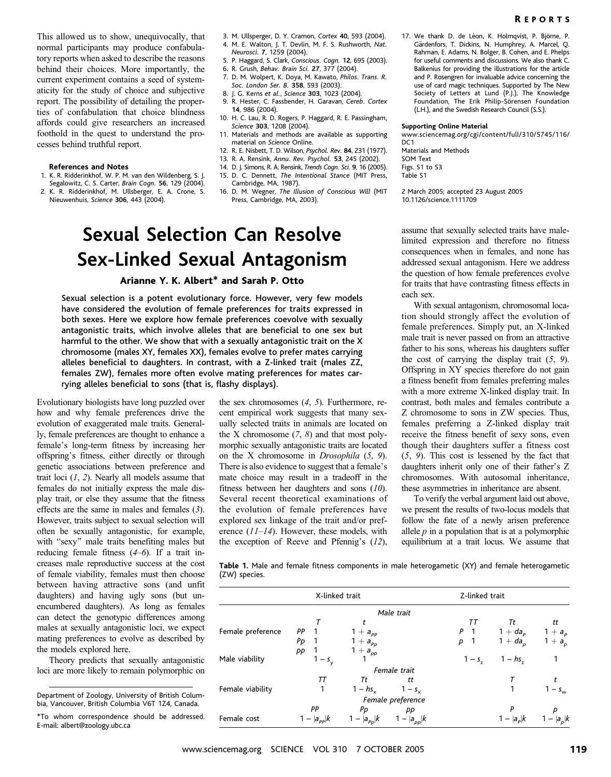This allowed us to show, unequivocally, that normal participants may produce confabulatory reports when asked to describe the reasons behind their choices. More importantly, the current experiment contains a seed of systematicity for the study of choice and subjective report. The possibility of detailing the properties of confabulation that choice blindness affords could give researchers an increased foothold in the quest to understand the processes behind truthful report.

#### References and Notes

- 1. K. R. Ridderinkhof, W. P. M. van den Wildenberg, S. J. Segalowitz, C. S. Carter, Brain Cogn. 56, 129 (2004).
- 2. K. R. Ridderinkhof, M. Ullsberger, E. A. Crone, S. Nieuwenhuis, Science 306, 443 (2004).
- 3. M. Ullsperger, D. Y. Cramon, Cortex 40, 593 (2004).
- 4. M. E. Walton, J. T. Devlin, M. F. S. Rushworth, Nat. Neurosci. 7, 1259 (2004).
- 5. P. Haggard, S. Clark, Conscious. Cogn. 12, 695 (2003).
- 6. R. Grush, Behav. Brain Sci. 27, 377 (2004).
- 7. D. M. Wolpert, K. Doya, M. Kawato, Philos. Trans. R. Soc. London Ser. B. 358, 593 (2003).
- 8. J. G. Kerns et al., Science 303, 1023 (2004). 9. R. Hester, C. Fassbender, H. Garavan, Cereb. Cortex 14, 986 (2004).
- 10. H. C. Lau, R. D. Rogers, P. Haggard, R. E. Passingham, Science 303, 1208 (2004).
- 11. Materials and methods are available as supporting material on Science Online.
- 12. R. E. Nisbett, T. D. Wilson, Psychol. Rev. 84, 231 (1977).
- 13. R. A. Rensink, Annu. Rev. Psychol. 53, 245 (2002).
- 14. D. J. Simons, R. A. Rensink, Trends Cogn. Sci. 9, 16 (2005). 15. D. C. Dennett, The Intentional Stance (MIT Press, Cambridge, MA, 1987).
- 16. D. M. Wegner, The Illusion of Conscious Will (MIT Press, Cambridge, MA, 2003).

# Sexual Selection Can Resolve Sex-Linked Sexual Antagonism

## Arianne Y. K. Albert\* and Sarah P. Otto

Sexual selection is a potent evolutionary force. However, very few models have considered the evolution of female preferences for traits expressed in both sexes. Here we explore how female preferences coevolve with sexually antagonistic traits, which involve alleles that are beneficial to one sex but harmful to the other. We show that with a sexually antagonistic trait on the X chromosome (males XY, females XX), females evolve to prefer mates carrying alleles beneficial to daughters. In contrast, with a Z-linked trait (males ZZ, females ZW), females more often evolve mating preferences for mates carrying alleles beneficial to sons (that is, flashy displays).

Evolutionary biologists have long puzzled over how and why female preferences drive the evolution of exaggerated male traits. Generally, female preferences are thought to enhance a female's long-term fitness by increasing her offspring\_s fitness, either directly or through genetic associations between preference and trait loci  $(1, 2)$ . Nearly all models assume that females do not initially express the male display trait, or else they assume that the fitness effects are the same in males and females (3). However, traits subject to sexual selection will often be sexually antagonistic, for example, with "sexy" male traits benefiting males but reducing female fitness (4–6). If a trait increases male reproductive success at the cost of female viability, females must then choose between having attractive sons (and unfit daughters) and having ugly sons (but unencumbered daughters). As long as females can detect the genotypic differences among males at sexually antagonistic loci, we expect mating preferences to evolve as described by the models explored here.

Theory predicts that sexually antagonistic loci are more likely to remain polymorphic on

the sex chromosomes  $(4, 5)$ . Furthermore, recent empirical work suggests that many sexually selected traits in animals are located on the X chromosome  $(7, 8)$  and that most polymorphic sexually antagonistic traits are located on the X chromosome in Drosophila (5, 9). There is also evidence to suggest that a female's mate choice may result in a tradeoff in the fitness between her daughters and sons (10). Several recent theoretical examinations of the evolution of female preferences have explored sex linkage of the trait and/or preference  $(11-14)$ . However, these models, with the exception of Reeve and Pfennig's  $(12)$ ,

17. We thank D. de Léon, K. Holmqvist, P. Björne, P. Gärdenfors, T. Dickins, N. Humphrey, A. Marcel, Q. Rahman, E. Adams, N. Bolger, B. Cohen, and E. Phelps for useful comments and discussions. We also thank C. Balkenius for providing the illustrations for the article and P. Rosengren for invaluable advice concerning the use of card magic techniques. Supported by The New Society of Letters at Lund (P.J.), The Knowledge Foundation, The Erik Philip-Sorensen Foundation (L.H.), and the Swedish Research Council (S.S.).

#### Supporting Online Material

www.sciencemag.org/cgi/content/full/310/5745/116/ DC<sub>1</sub>

Materials and Methods SOM Text Figs. S1 to S3 Table S1

2 March 2005; accepted 23 August 2005 10.1126/science.1111709

assume that sexually selected traits have malelimited expression and therefore no fitness consequences when in females, and none has addressed sexual antagonism. Here we address the question of how female preferences evolve for traits that have contrasting fitness effects in each sex.

With sexual antagonism, chromosomal location should strongly affect the evolution of female preferences. Simply put, an X-linked male trait is never passed on from an attractive father to his sons, whereas his daughters suffer the cost of carrying the display trait  $(5, 9)$ . Offspring in XY species therefore do not gain a fitness benefit from females preferring males with a more extreme X-linked display trait. In contrast, both males and females contribute a Z chromosome to sons in ZW species. Thus, females preferring a Z-linked display trait receive the fitness benefit of sexy sons, even though their daughters suffer a fitness cost (5, 9). This cost is lessened by the fact that daughters inherit only one of their father's Z chromosomes. With autosomal inheritance, these asymmetries in inheritance are absent.

To verify the verbal argument laid out above, we present the results of two-locus models that follow the fate of a newly arisen preference allele  $p$  in a population that is at a polymorphic equilibrium at a trait locus. We assume that

Table 1. Male and female fitness components in male heterogametic (XY) and female heterogametic (ZW) species.

|                   | X-linked trait        |                   |                   | Z-linked trait      |                   |               |
|-------------------|-----------------------|-------------------|-------------------|---------------------|-------------------|---------------|
|                   |                       |                   | Male trait        |                     |                   |               |
|                   |                       | t                 |                   | ТT                  | Тt                | tt            |
| Female preference | PP                    | $1+a_{pp}$        |                   | P<br>$\overline{1}$ | $1 + da_{\rho}$   | $1 + a_{p}$   |
|                   | Pp                    | $1+a_{p_p}$       |                   | p                   | $1 + da_{n}$      | $1+a_p$       |
|                   | рp                    | $1 + a_{pp}$      |                   |                     |                   |               |
| Male viability    | $1 - s_{v}$           |                   |                   | $1 - s7$            | $1 - hs$          |               |
|                   |                       |                   | Female trait      |                     |                   |               |
|                   | TТ                    | Тt                | tt                |                     |                   |               |
| Female viability  | 1                     | $1 - hs_x$        | $1 - sx$          |                     |                   | $1 - s_{w}$   |
|                   |                       |                   | Female preference |                     |                   |               |
|                   | ΡP                    | Pp                |                   |                     |                   |               |
| Female cost       | $1 -  a_{\rho\rho} k$ | $1 -  a_{p_D}  k$ | $1 -  a_{pp} k$   |                     | $1 -  a_{\rho} k$ | $ a_{\rho} k$ |

Department of Zoology, University of British Columbia, Vancouver, British Columbia V6T 1Z4, Canada.

<sup>\*</sup>To whom correspondence should be addressed. E-mail: albert@zoology.ubc.ca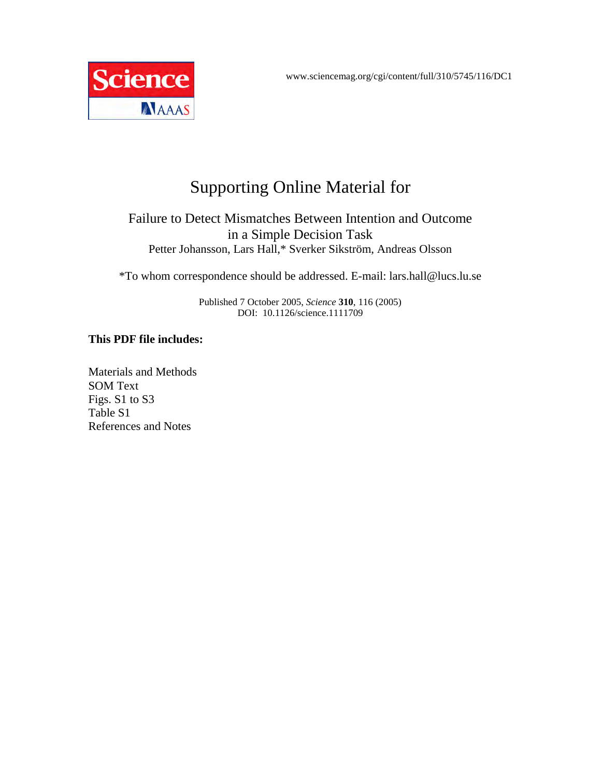www.sciencemag.org/cgi/content/full/310/5745/116/DC1



# Supporting Online Material for

## Failure to Detect Mismatches Between Intention and Outcome in a Simple Decision Task Petter Johansson, Lars Hall,\* Sverker Sikström, Andreas Olsson

\*To whom correspondence should be addressed. E-mail: lars.hall@lucs.lu.se

Published 7 October 2005, *Science* **310**, 116 (2005) DOI: 10.1126/science.1111709

## **This PDF file includes:**

Materials and Methods SOM Text Figs. S1 to S3 Table S1 References and Notes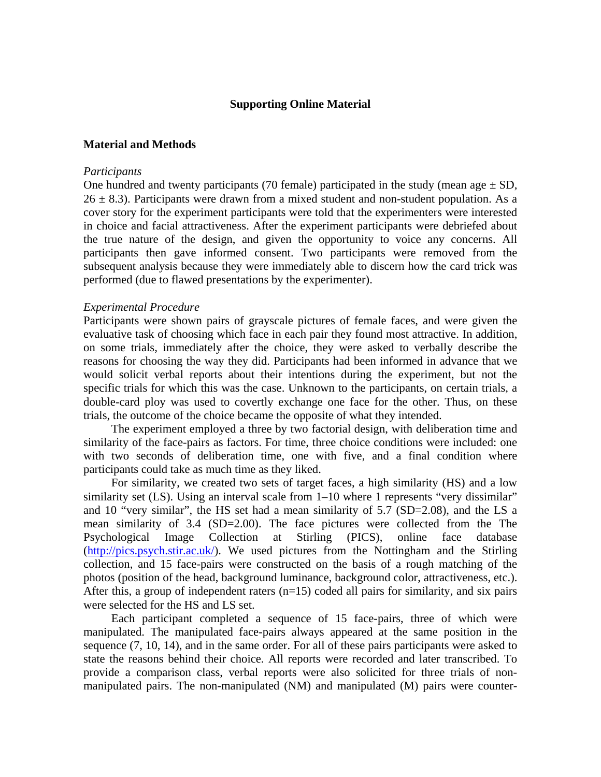#### **Supporting Online Material**

#### **Material and Methods**

#### *Participants*

One hundred and twenty participants (70 female) participated in the study (mean age  $\pm$  SD,  $26 \pm 8.3$ ). Participants were drawn from a mixed student and non-student population. As a cover story for the experiment participants were told that the experimenters were interested in choice and facial attractiveness. After the experiment participants were debriefed about the true nature of the design, and given the opportunity to voice any concerns. All participants then gave informed consent. Two participants were removed from the subsequent analysis because they were immediately able to discern how the card trick was performed (due to flawed presentations by the experimenter).

### *Experimental Procedure*

Participants were shown pairs of grayscale pictures of female faces, and were given the evaluative task of choosing which face in each pair they found most attractive. In addition, on some trials, immediately after the choice, they were asked to verbally describe the reasons for choosing the way they did. Participants had been informed in advance that we would solicit verbal reports about their intentions during the experiment, but not the specific trials for which this was the case. Unknown to the participants, on certain trials, a double-card ploy was used to covertly exchange one face for the other. Thus, on these trials, the outcome of the choice became the opposite of what they intended.

 The experiment employed a three by two factorial design, with deliberation time and similarity of the face-pairs as factors. For time, three choice conditions were included: one with two seconds of deliberation time, one with five, and a final condition where participants could take as much time as they liked.

 For similarity, we created two sets of target faces, a high similarity (HS) and a low similarity set (LS). Using an interval scale from 1–10 where 1 represents "very dissimilar" and 10 "very similar", the HS set had a mean similarity of 5.7 (SD=2.08), and the LS a mean similarity of 3.4 (SD=2.00). The face pictures were collected from the The Psychological Image Collection at Stirling (PICS), online face database (http://pics.psych.stir.ac.uk/). We used pictures from the Nottingham and the Stirling collection, and 15 face-pairs were constructed on the basis of a rough matching of the photos (position of the head, background luminance, background color, attractiveness, etc.). After this, a group of independent raters  $(n=15)$  coded all pairs for similarity, and six pairs were selected for the HS and LS set.

 Each participant completed a sequence of 15 face-pairs, three of which were manipulated. The manipulated face-pairs always appeared at the same position in the sequence (7, 10, 14), and in the same order. For all of these pairs participants were asked to state the reasons behind their choice. All reports were recorded and later transcribed. To provide a comparison class, verbal reports were also solicited for three trials of nonmanipulated pairs. The non-manipulated (NM) and manipulated (M) pairs were counter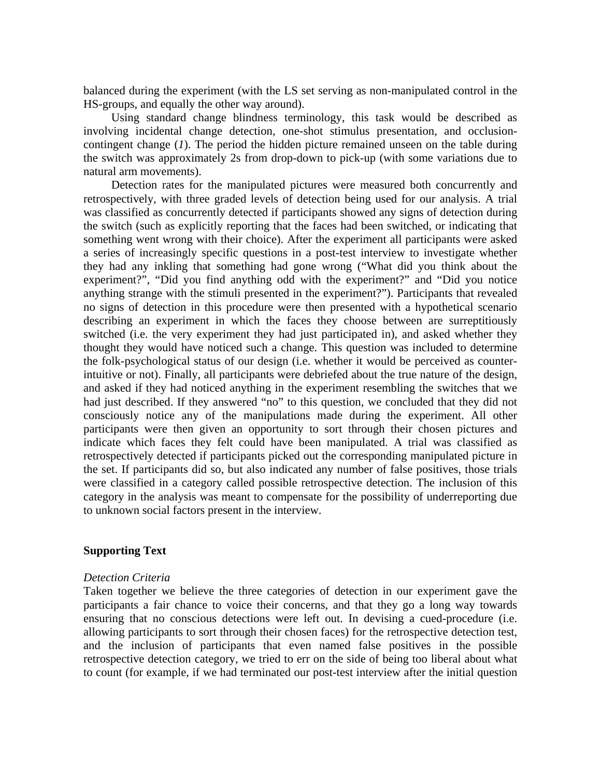balanced during the experiment (with the LS set serving as non-manipulated control in the HS-groups, and equally the other way around).

 Using standard change blindness terminology, this task would be described as involving incidental change detection, one-shot stimulus presentation, and occlusioncontingent change (*1*). The period the hidden picture remained unseen on the table during the switch was approximately 2s from drop-down to pick-up (with some variations due to natural arm movements).

 Detection rates for the manipulated pictures were measured both concurrently and retrospectively, with three graded levels of detection being used for our analysis. A trial was classified as concurrently detected if participants showed any signs of detection during the switch (such as explicitly reporting that the faces had been switched, or indicating that something went wrong with their choice). After the experiment all participants were asked a series of increasingly specific questions in a post-test interview to investigate whether they had any inkling that something had gone wrong ("What did you think about the experiment?", "Did you find anything odd with the experiment?" and "Did you notice anything strange with the stimuli presented in the experiment?"). Participants that revealed no signs of detection in this procedure were then presented with a hypothetical scenario describing an experiment in which the faces they choose between are surreptitiously switched (i.e. the very experiment they had just participated in), and asked whether they thought they would have noticed such a change. This question was included to determine the folk-psychological status of our design (i.e. whether it would be perceived as counterintuitive or not). Finally, all participants were debriefed about the true nature of the design, and asked if they had noticed anything in the experiment resembling the switches that we had just described. If they answered "no" to this question, we concluded that they did not consciously notice any of the manipulations made during the experiment. All other participants were then given an opportunity to sort through their chosen pictures and indicate which faces they felt could have been manipulated. A trial was classified as retrospectively detected if participants picked out the corresponding manipulated picture in the set. If participants did so, but also indicated any number of false positives, those trials were classified in a category called possible retrospective detection. The inclusion of this category in the analysis was meant to compensate for the possibility of underreporting due to unknown social factors present in the interview.

## **Supporting Text**

#### *Detection Criteria*

Taken together we believe the three categories of detection in our experiment gave the participants a fair chance to voice their concerns, and that they go a long way towards ensuring that no conscious detections were left out. In devising a cued-procedure (i.e. allowing participants to sort through their chosen faces) for the retrospective detection test, and the inclusion of participants that even named false positives in the possible retrospective detection category, we tried to err on the side of being too liberal about what to count (for example, if we had terminated our post-test interview after the initial question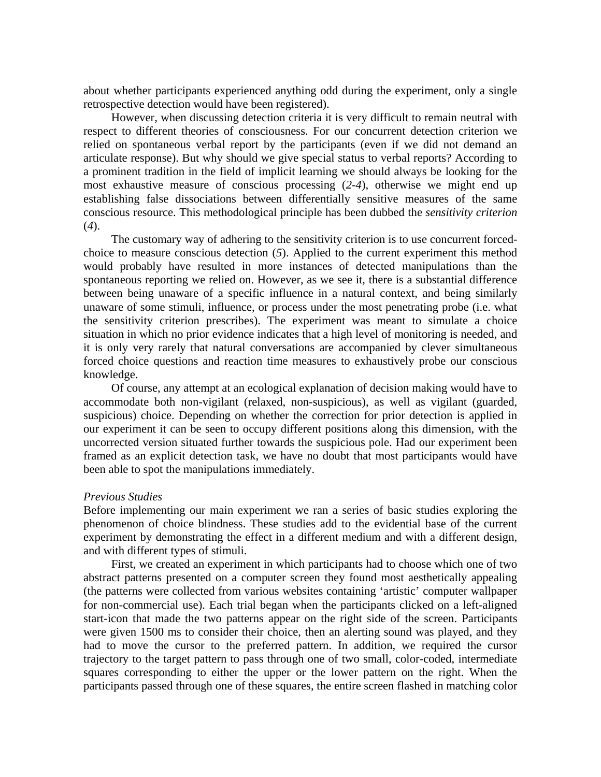about whether participants experienced anything odd during the experiment, only a single retrospective detection would have been registered).

 However, when discussing detection criteria it is very difficult to remain neutral with respect to different theories of consciousness. For our concurrent detection criterion we relied on spontaneous verbal report by the participants (even if we did not demand an articulate response). But why should we give special status to verbal reports? According to a prominent tradition in the field of implicit learning we should always be looking for the most exhaustive measure of conscious processing (*2-4*), otherwise we might end up establishing false dissociations between differentially sensitive measures of the same conscious resource. This methodological principle has been dubbed the *sensitivity criterion* (*4*).

 The customary way of adhering to the sensitivity criterion is to use concurrent forcedchoice to measure conscious detection (*5*). Applied to the current experiment this method would probably have resulted in more instances of detected manipulations than the spontaneous reporting we relied on. However, as we see it, there is a substantial difference between being unaware of a specific influence in a natural context, and being similarly unaware of some stimuli, influence, or process under the most penetrating probe (i.e. what the sensitivity criterion prescribes). The experiment was meant to simulate a choice situation in which no prior evidence indicates that a high level of monitoring is needed, and it is only very rarely that natural conversations are accompanied by clever simultaneous forced choice questions and reaction time measures to exhaustively probe our conscious knowledge.

 Of course, any attempt at an ecological explanation of decision making would have to accommodate both non-vigilant (relaxed, non-suspicious), as well as vigilant (guarded, suspicious) choice. Depending on whether the correction for prior detection is applied in our experiment it can be seen to occupy different positions along this dimension, with the uncorrected version situated further towards the suspicious pole. Had our experiment been framed as an explicit detection task, we have no doubt that most participants would have been able to spot the manipulations immediately.

#### *Previous Studies*

Before implementing our main experiment we ran a series of basic studies exploring the phenomenon of choice blindness. These studies add to the evidential base of the current experiment by demonstrating the effect in a different medium and with a different design, and with different types of stimuli.

 First, we created an experiment in which participants had to choose which one of two abstract patterns presented on a computer screen they found most aesthetically appealing (the patterns were collected from various websites containing 'artistic' computer wallpaper for non-commercial use). Each trial began when the participants clicked on a left-aligned start-icon that made the two patterns appear on the right side of the screen. Participants were given 1500 ms to consider their choice, then an alerting sound was played, and they had to move the cursor to the preferred pattern. In addition, we required the cursor trajectory to the target pattern to pass through one of two small, color-coded, intermediate squares corresponding to either the upper or the lower pattern on the right. When the participants passed through one of these squares, the entire screen flashed in matching color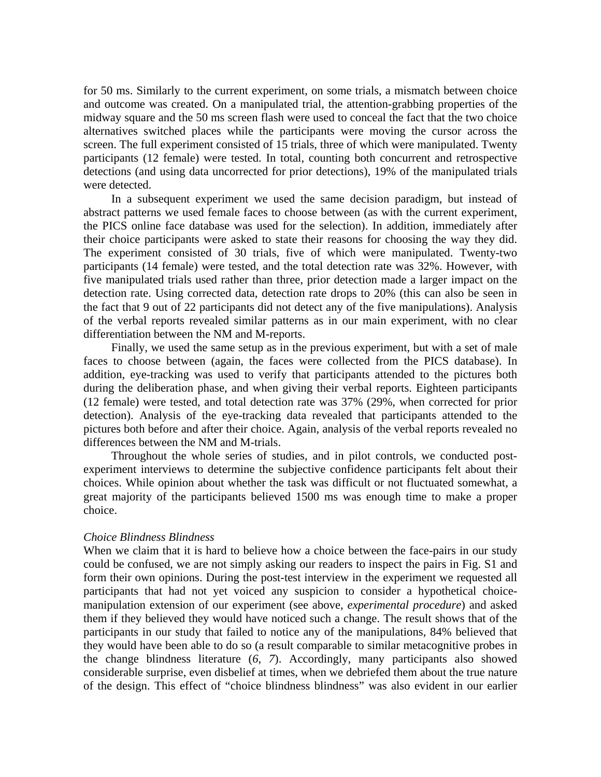for 50 ms. Similarly to the current experiment, on some trials, a mismatch between choice and outcome was created. On a manipulated trial, the attention-grabbing properties of the midway square and the 50 ms screen flash were used to conceal the fact that the two choice alternatives switched places while the participants were moving the cursor across the screen. The full experiment consisted of 15 trials, three of which were manipulated. Twenty participants (12 female) were tested. In total, counting both concurrent and retrospective detections (and using data uncorrected for prior detections), 19% of the manipulated trials were detected.

 In a subsequent experiment we used the same decision paradigm, but instead of abstract patterns we used female faces to choose between (as with the current experiment, the PICS online face database was used for the selection). In addition, immediately after their choice participants were asked to state their reasons for choosing the way they did. The experiment consisted of 30 trials, five of which were manipulated. Twenty-two participants (14 female) were tested, and the total detection rate was 32%. However, with five manipulated trials used rather than three, prior detection made a larger impact on the detection rate. Using corrected data, detection rate drops to 20% (this can also be seen in the fact that 9 out of 22 participants did not detect any of the five manipulations). Analysis of the verbal reports revealed similar patterns as in our main experiment, with no clear differentiation between the NM and M-reports.

 Finally, we used the same setup as in the previous experiment, but with a set of male faces to choose between (again, the faces were collected from the PICS database). In addition, eye-tracking was used to verify that participants attended to the pictures both during the deliberation phase, and when giving their verbal reports. Eighteen participants (12 female) were tested, and total detection rate was 37% (29%, when corrected for prior detection). Analysis of the eye-tracking data revealed that participants attended to the pictures both before and after their choice. Again, analysis of the verbal reports revealed no differences between the NM and M-trials.

 Throughout the whole series of studies, and in pilot controls, we conducted postexperiment interviews to determine the subjective confidence participants felt about their choices. While opinion about whether the task was difficult or not fluctuated somewhat, a great majority of the participants believed 1500 ms was enough time to make a proper choice.

#### *Choice Blindness Blindness*

When we claim that it is hard to believe how a choice between the face-pairs in our study could be confused, we are not simply asking our readers to inspect the pairs in Fig. S1 and form their own opinions. During the post-test interview in the experiment we requested all participants that had not yet voiced any suspicion to consider a hypothetical choicemanipulation extension of our experiment (see above, *experimental procedure*) and asked them if they believed they would have noticed such a change. The result shows that of the participants in our study that failed to notice any of the manipulations, 84% believed that they would have been able to do so (a result comparable to similar metacognitive probes in the change blindness literature (*6, 7*). Accordingly, many participants also showed considerable surprise, even disbelief at times, when we debriefed them about the true nature of the design. This effect of "choice blindness blindness" was also evident in our earlier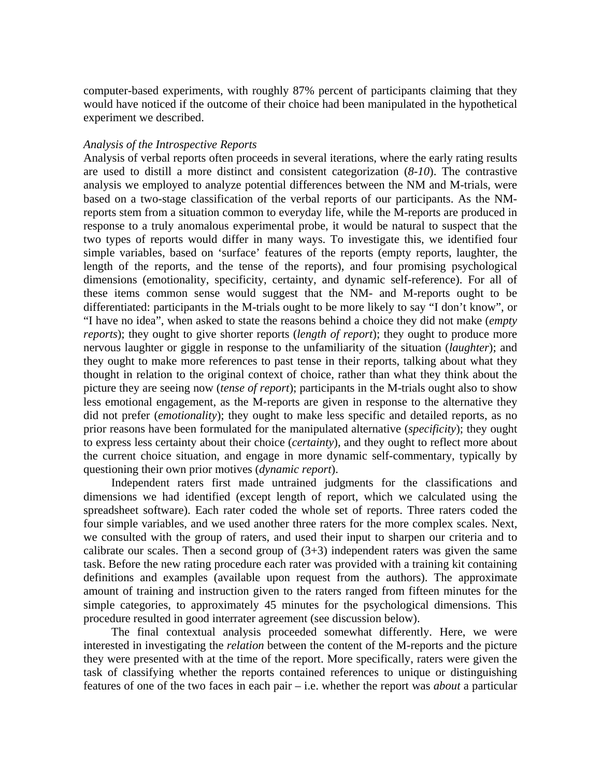computer-based experiments, with roughly 87% percent of participants claiming that they would have noticed if the outcome of their choice had been manipulated in the hypothetical experiment we described.

### *Analysis of the Introspective Reports*

Analysis of verbal reports often proceeds in several iterations, where the early rating results are used to distill a more distinct and consistent categorization (*8-10*). The contrastive analysis we employed to analyze potential differences between the NM and M-trials, were based on a two-stage classification of the verbal reports of our participants. As the NMreports stem from a situation common to everyday life, while the M-reports are produced in response to a truly anomalous experimental probe, it would be natural to suspect that the two types of reports would differ in many ways. To investigate this, we identified four simple variables, based on 'surface' features of the reports (empty reports, laughter, the length of the reports, and the tense of the reports), and four promising psychological dimensions (emotionality, specificity, certainty, and dynamic self-reference). For all of these items common sense would suggest that the NM- and M-reports ought to be differentiated: participants in the M-trials ought to be more likely to say "I don't know", or "I have no idea", when asked to state the reasons behind a choice they did not make (*empty reports*); they ought to give shorter reports *(length of report)*; they ought to produce more nervous laughter or giggle in response to the unfamiliarity of the situation (*laughter*); and they ought to make more references to past tense in their reports, talking about what they thought in relation to the original context of choice, rather than what they think about the picture they are seeing now (*tense of report*); participants in the M-trials ought also to show less emotional engagement, as the M-reports are given in response to the alternative they did not prefer (*emotionality*); they ought to make less specific and detailed reports, as no prior reasons have been formulated for the manipulated alternative (*specificity*); they ought to express less certainty about their choice (*certainty*), and they ought to reflect more about the current choice situation, and engage in more dynamic self-commentary, typically by questioning their own prior motives (*dynamic report*).

Independent raters first made untrained judgments for the classifications and dimensions we had identified (except length of report, which we calculated using the spreadsheet software). Each rater coded the whole set of reports. Three raters coded the four simple variables, and we used another three raters for the more complex scales. Next, we consulted with the group of raters, and used their input to sharpen our criteria and to calibrate our scales. Then a second group of  $(3+3)$  independent raters was given the same task. Before the new rating procedure each rater was provided with a training kit containing definitions and examples (available upon request from the authors). The approximate amount of training and instruction given to the raters ranged from fifteen minutes for the simple categories, to approximately 45 minutes for the psychological dimensions. This procedure resulted in good interrater agreement (see discussion below).

The final contextual analysis proceeded somewhat differently. Here, we were interested in investigating the *relation* between the content of the M-reports and the picture they were presented with at the time of the report. More specifically, raters were given the task of classifying whether the reports contained references to unique or distinguishing features of one of the two faces in each pair – i.e. whether the report was *about* a particular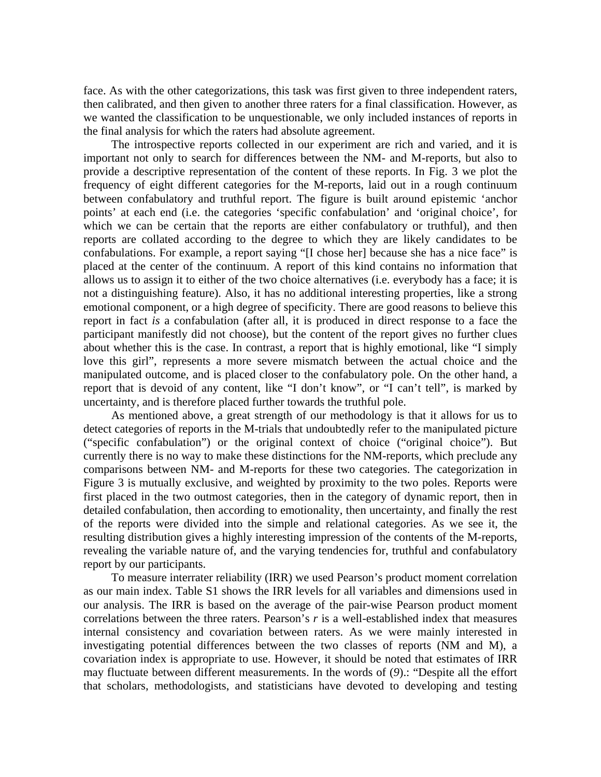face. As with the other categorizations, this task was first given to three independent raters, then calibrated, and then given to another three raters for a final classification. However, as we wanted the classification to be unquestionable, we only included instances of reports in the final analysis for which the raters had absolute agreement.

The introspective reports collected in our experiment are rich and varied, and it is important not only to search for differences between the NM- and M-reports, but also to provide a descriptive representation of the content of these reports. In Fig. 3 we plot the frequency of eight different categories for the M-reports, laid out in a rough continuum between confabulatory and truthful report. The figure is built around epistemic 'anchor points' at each end (i.e. the categories 'specific confabulation' and 'original choice', for which we can be certain that the reports are either confabulatory or truthful), and then reports are collated according to the degree to which they are likely candidates to be confabulations. For example, a report saying "[I chose her] because she has a nice face" is placed at the center of the continuum. A report of this kind contains no information that allows us to assign it to either of the two choice alternatives (i.e. everybody has a face; it is not a distinguishing feature). Also, it has no additional interesting properties, like a strong emotional component, or a high degree of specificity. There are good reasons to believe this report in fact *is* a confabulation (after all, it is produced in direct response to a face the participant manifestly did not choose), but the content of the report gives no further clues about whether this is the case. In contrast, a report that is highly emotional, like "I simply love this girl", represents a more severe mismatch between the actual choice and the manipulated outcome, and is placed closer to the confabulatory pole. On the other hand, a report that is devoid of any content, like "I don't know", or "I can't tell", is marked by uncertainty, and is therefore placed further towards the truthful pole.

As mentioned above, a great strength of our methodology is that it allows for us to detect categories of reports in the M-trials that undoubtedly refer to the manipulated picture ("specific confabulation") or the original context of choice ("original choice"). But currently there is no way to make these distinctions for the NM-reports, which preclude any comparisons between NM- and M-reports for these two categories. The categorization in Figure 3 is mutually exclusive, and weighted by proximity to the two poles. Reports were first placed in the two outmost categories, then in the category of dynamic report, then in detailed confabulation, then according to emotionality, then uncertainty, and finally the rest of the reports were divided into the simple and relational categories. As we see it, the resulting distribution gives a highly interesting impression of the contents of the M-reports, revealing the variable nature of, and the varying tendencies for, truthful and confabulatory report by our participants.

To measure interrater reliability (IRR) we used Pearson's product moment correlation as our main index. Table S1 shows the IRR levels for all variables and dimensions used in our analysis. The IRR is based on the average of the pair-wise Pearson product moment correlations between the three raters. Pearson's *r* is a well-established index that measures internal consistency and covariation between raters. As we were mainly interested in investigating potential differences between the two classes of reports (NM and M), a covariation index is appropriate to use. However, it should be noted that estimates of IRR may fluctuate between different measurements. In the words of (*9*).: "Despite all the effort that scholars, methodologists, and statisticians have devoted to developing and testing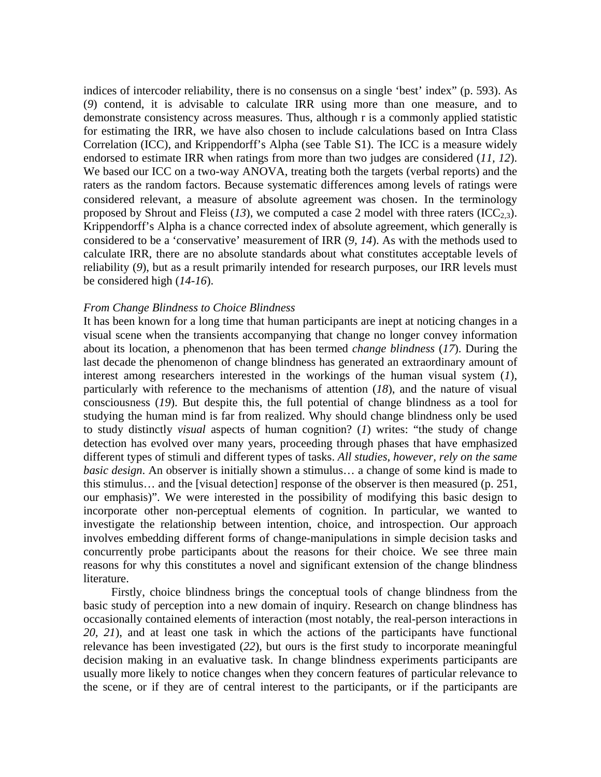indices of intercoder reliability, there is no consensus on a single 'best' index" (p. 593). As (*9*) contend, it is advisable to calculate IRR using more than one measure, and to demonstrate consistency across measures. Thus, although r is a commonly applied statistic for estimating the IRR, we have also chosen to include calculations based on Intra Class Correlation (ICC), and Krippendorff's Alpha (see Table S1). The ICC is a measure widely endorsed to estimate IRR when ratings from more than two judges are considered (*11, 12*). We based our ICC on a two-way ANOVA, treating both the targets (verbal reports) and the raters as the random factors. Because systematic differences among levels of ratings were considered relevant, a measure of absolute agreement was chosen. In the terminology proposed by Shrout and Fleiss (13), we computed a case 2 model with three raters (ICC<sub>2,3</sub>). Krippendorff's Alpha is a chance corrected index of absolute agreement, which generally is considered to be a 'conservative' measurement of IRR (*9, 14*). As with the methods used to calculate IRR, there are no absolute standards about what constitutes acceptable levels of reliability (*9*), but as a result primarily intended for research purposes, our IRR levels must be considered high (*14-16*).

#### *From Change Blindness to Choice Blindness*

It has been known for a long time that human participants are inept at noticing changes in a visual scene when the transients accompanying that change no longer convey information about its location, a phenomenon that has been termed *change blindness* (*17*). During the last decade the phenomenon of change blindness has generated an extraordinary amount of interest among researchers interested in the workings of the human visual system (*1*), particularly with reference to the mechanisms of attention (*18*), and the nature of visual consciousness (*19*). But despite this, the full potential of change blindness as a tool for studying the human mind is far from realized. Why should change blindness only be used to study distinctly *visual* aspects of human cognition? (*1*) writes: "the study of change detection has evolved over many years, proceeding through phases that have emphasized different types of stimuli and different types of tasks. *All studies, however, rely on the same basic design*. An observer is initially shown a stimulus… a change of some kind is made to this stimulus… and the [visual detection] response of the observer is then measured (p. 251, our emphasis)". We were interested in the possibility of modifying this basic design to incorporate other non-perceptual elements of cognition. In particular, we wanted to investigate the relationship between intention, choice, and introspection. Our approach involves embedding different forms of change-manipulations in simple decision tasks and concurrently probe participants about the reasons for their choice. We see three main reasons for why this constitutes a novel and significant extension of the change blindness literature.

Firstly, choice blindness brings the conceptual tools of change blindness from the basic study of perception into a new domain of inquiry. Research on change blindness has occasionally contained elements of interaction (most notably, the real-person interactions in *20, 21*), and at least one task in which the actions of the participants have functional relevance has been investigated (*22*), but ours is the first study to incorporate meaningful decision making in an evaluative task. In change blindness experiments participants are usually more likely to notice changes when they concern features of particular relevance to the scene, or if they are of central interest to the participants, or if the participants are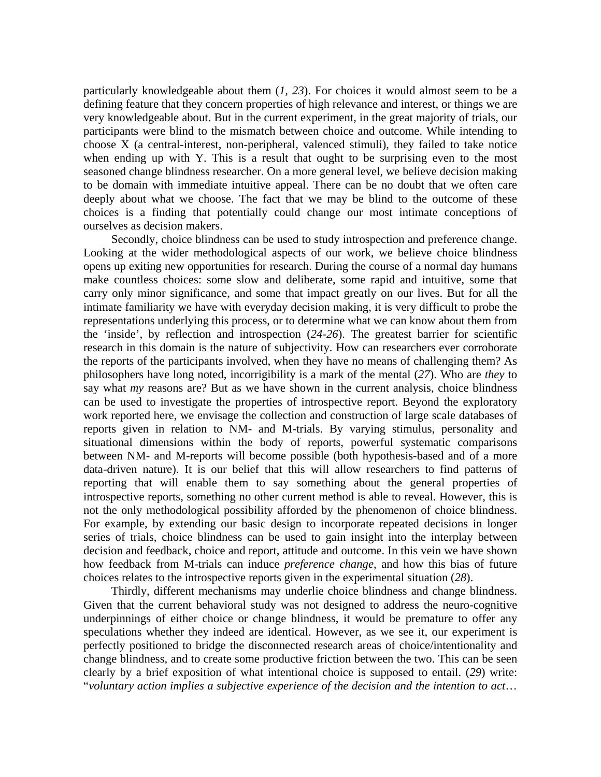particularly knowledgeable about them (*1, 23*). For choices it would almost seem to be a defining feature that they concern properties of high relevance and interest, or things we are very knowledgeable about. But in the current experiment, in the great majority of trials, our participants were blind to the mismatch between choice and outcome. While intending to choose X (a central-interest, non-peripheral, valenced stimuli), they failed to take notice when ending up with Y. This is a result that ought to be surprising even to the most seasoned change blindness researcher. On a more general level, we believe decision making to be domain with immediate intuitive appeal. There can be no doubt that we often care deeply about what we choose. The fact that we may be blind to the outcome of these choices is a finding that potentially could change our most intimate conceptions of ourselves as decision makers.

Secondly, choice blindness can be used to study introspection and preference change. Looking at the wider methodological aspects of our work, we believe choice blindness opens up exiting new opportunities for research. During the course of a normal day humans make countless choices: some slow and deliberate, some rapid and intuitive, some that carry only minor significance, and some that impact greatly on our lives. But for all the intimate familiarity we have with everyday decision making, it is very difficult to probe the representations underlying this process, or to determine what we can know about them from the 'inside', by reflection and introspection (*24-26*). The greatest barrier for scientific research in this domain is the nature of subjectivity. How can researchers ever corroborate the reports of the participants involved, when they have no means of challenging them? As philosophers have long noted, incorrigibility is a mark of the mental (*27*). Who are *they* to say what *my* reasons are? But as we have shown in the current analysis, choice blindness can be used to investigate the properties of introspective report. Beyond the exploratory work reported here, we envisage the collection and construction of large scale databases of reports given in relation to NM- and M-trials. By varying stimulus, personality and situational dimensions within the body of reports, powerful systematic comparisons between NM- and M-reports will become possible (both hypothesis-based and of a more data-driven nature). It is our belief that this will allow researchers to find patterns of reporting that will enable them to say something about the general properties of introspective reports, something no other current method is able to reveal. However, this is not the only methodological possibility afforded by the phenomenon of choice blindness. For example, by extending our basic design to incorporate repeated decisions in longer series of trials, choice blindness can be used to gain insight into the interplay between decision and feedback, choice and report, attitude and outcome. In this vein we have shown how feedback from M-trials can induce *preference change*, and how this bias of future choices relates to the introspective reports given in the experimental situation (*28*).

Thirdly, different mechanisms may underlie choice blindness and change blindness. Given that the current behavioral study was not designed to address the neuro-cognitive underpinnings of either choice or change blindness, it would be premature to offer any speculations whether they indeed are identical. However, as we see it, our experiment is perfectly positioned to bridge the disconnected research areas of choice/intentionality and change blindness, and to create some productive friction between the two. This can be seen clearly by a brief exposition of what intentional choice is supposed to entail. (*29*) write: "*voluntary action implies a subjective experience of the decision and the intention to act*…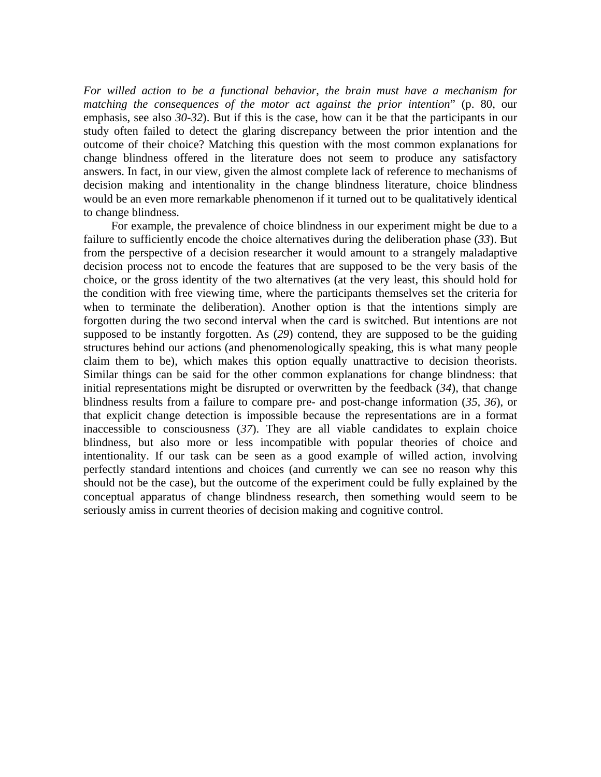*For willed action to be a functional behavior*, *the brain must have a mechanism for matching the consequences of the motor act against the prior intention*" (p. 80, our emphasis, see also *30-32*). But if this is the case, how can it be that the participants in our study often failed to detect the glaring discrepancy between the prior intention and the outcome of their choice? Matching this question with the most common explanations for change blindness offered in the literature does not seem to produce any satisfactory answers. In fact, in our view, given the almost complete lack of reference to mechanisms of decision making and intentionality in the change blindness literature, choice blindness would be an even more remarkable phenomenon if it turned out to be qualitatively identical to change blindness.

For example, the prevalence of choice blindness in our experiment might be due to a failure to sufficiently encode the choice alternatives during the deliberation phase (*33*). But from the perspective of a decision researcher it would amount to a strangely maladaptive decision process not to encode the features that are supposed to be the very basis of the choice, or the gross identity of the two alternatives (at the very least, this should hold for the condition with free viewing time, where the participants themselves set the criteria for when to terminate the deliberation). Another option is that the intentions simply are forgotten during the two second interval when the card is switched. But intentions are not supposed to be instantly forgotten. As (*29*) contend, they are supposed to be the guiding structures behind our actions (and phenomenologically speaking, this is what many people claim them to be), which makes this option equally unattractive to decision theorists. Similar things can be said for the other common explanations for change blindness: that initial representations might be disrupted or overwritten by the feedback (*34*), that change blindness results from a failure to compare pre- and post-change information (*35, 36*), or that explicit change detection is impossible because the representations are in a format inaccessible to consciousness (*37*). They are all viable candidates to explain choice blindness, but also more or less incompatible with popular theories of choice and intentionality. If our task can be seen as a good example of willed action, involving perfectly standard intentions and choices (and currently we can see no reason why this should not be the case), but the outcome of the experiment could be fully explained by the conceptual apparatus of change blindness research, then something would seem to be seriously amiss in current theories of decision making and cognitive control.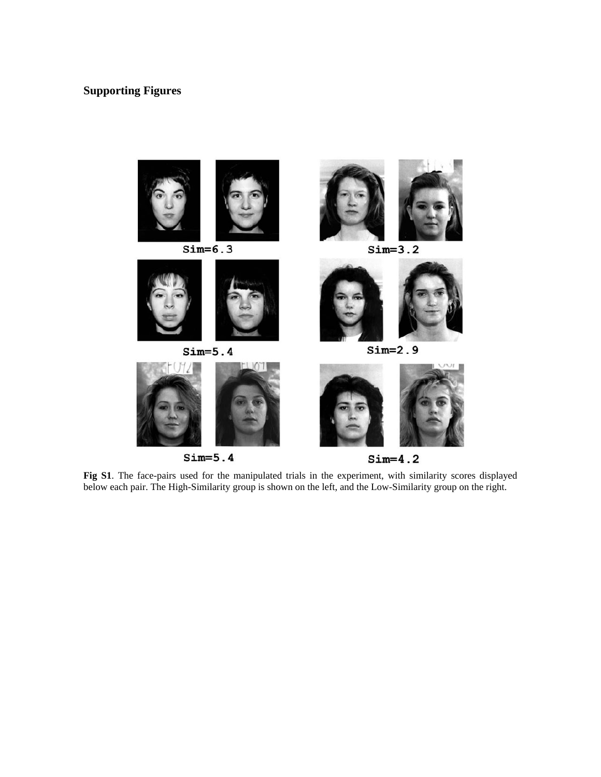## **Supporting Figures**



**Fig S1**. The face-pairs used for the manipulated trials in the experiment, with similarity scores displayed below each pair. The High-Similarity group is shown on the left, and the Low-Similarity group on the right.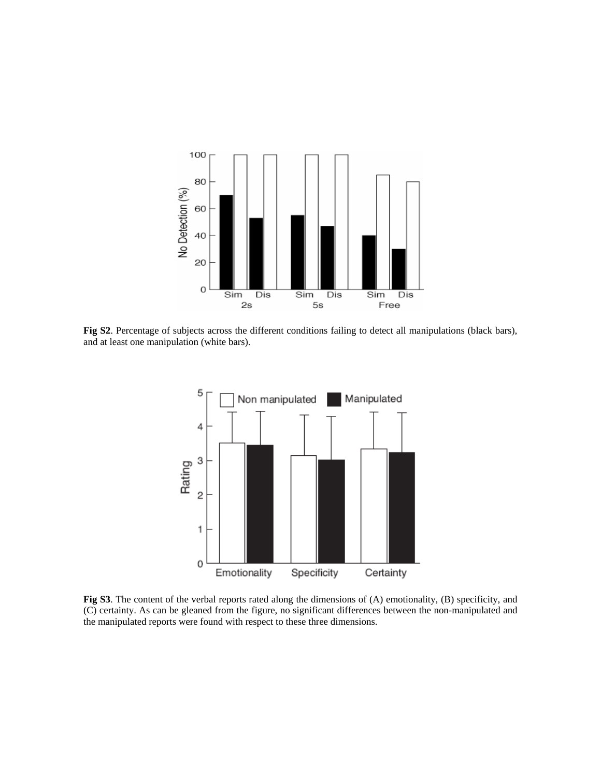

**Fig S2**. Percentage of subjects across the different conditions failing to detect all manipulations (black bars), and at least one manipulation (white bars).



**Fig S3**. The content of the verbal reports rated along the dimensions of (A) emotionality, (B) specificity, and (C) certainty. As can be gleaned from the figure, no significant differences between the non-manipulated and the manipulated reports were found with respect to these three dimensions.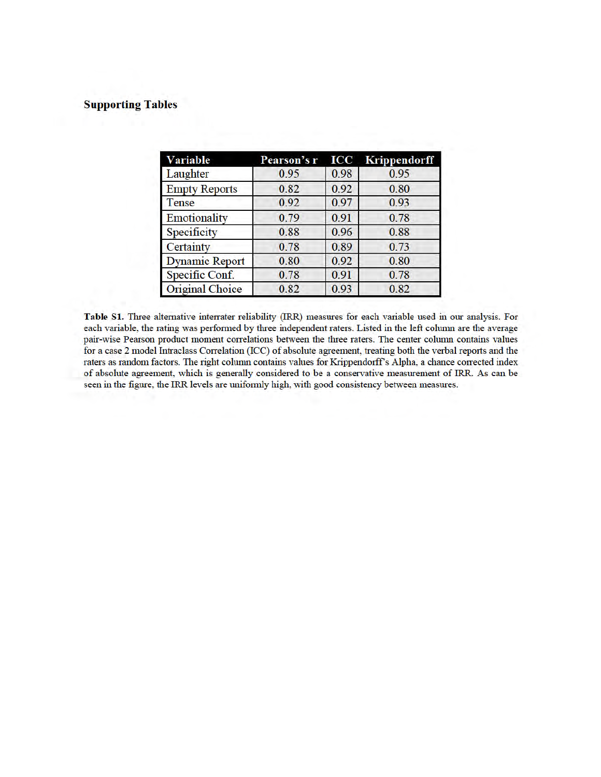### **Supporting Tables**

| Variable               | Pearson's r |      | <b>ICC</b> Krippendorff |
|------------------------|-------------|------|-------------------------|
| Laughter               | 0.95        | 0.98 | 0.95                    |
| <b>Empty Reports</b>   | 0.82        | 0.92 | 0.80                    |
| <b>Tense</b>           | 0.92        | 0.97 | 0.93                    |
| Emotionality           | 0.79        | 0.91 | 0.78                    |
| Specificity            | 0.88        | 0.96 | 0.88                    |
| Certainty              | 0.78        | 0.89 | 0.73                    |
| <b>Dynamic Report</b>  | 0.80        | 0.92 | 0.80                    |
| Specific Conf.         | 0.78        | 0.91 | 0.78                    |
| <b>Original Choice</b> | 0.82        | 0.93 | 0.82                    |

Table S1. Three alternative interrater reliability (IRR) measures for each variable used in our analysis. For each variable, the rating was performed by three independent raters. Listed in the left column are the average pair-wise Pearson product moment correlations between the three raters. The center column contains values for a case 2 model Intraclass Correlation (ICC) of absolute agreement, treating both the verbal reports and the raters as random factors. The right column contains values for Krippendorff's Alpha, a chance corrected index of absolute agreement, which is generally considered to be a conservative measurement of IRR. As can be seen in the figure, the IRR levels are uniformly high, with good consistency between measures.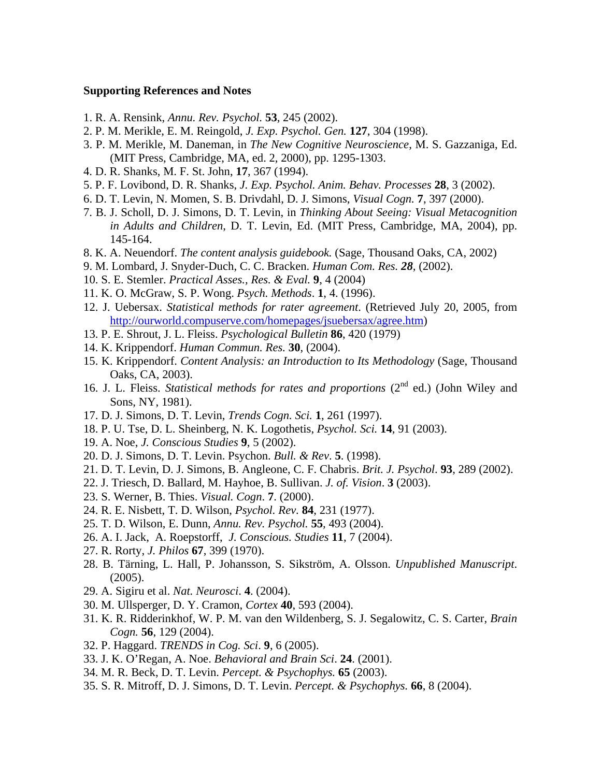## **Supporting References and Notes**

- 1. R. A. Rensink, *Annu. Rev. Psychol.* **53**, 245 (2002).
- 2. P. M. Merikle, E. M. Reingold, *J. Exp. Psychol. Gen.* **127**, 304 (1998).
- 3. P. M. Merikle, M. Daneman, in *The New Cognitive Neuroscience*, M. S. Gazzaniga, Ed. (MIT Press, Cambridge, MA, ed. 2, 2000), pp. 1295-1303.
- 4. D. R. Shanks, M. F. St. John, **17**, 367 (1994).
- 5. P. F. Lovibond, D. R. Shanks, *J. Exp. Psychol. Anim. Behav. Processes* **28**, 3 (2002).
- 6. D. T. Levin, N. Momen, S. B. Drivdahl, D. J. Simons, *Visual Cogn.* **7**, 397 (2000).
- 7. B. J. Scholl, D. J. Simons, D. T. Levin, in *Thinking About Seeing: Visual Metacognition in Adults and Children*, D. T. Levin, Ed. (MIT Press, Cambridge, MA, 2004), pp. 145-164.
- 8. K. A. Neuendorf. *The content analysis guidebook.* (Sage, Thousand Oaks, CA, 2002)
- 9. M. Lombard, J. Snyder-Duch, C. C. Bracken. *Human Com. Res. 28,* (2002).
- 10. S. E. Stemler. *Practical Asses., Res. & Eval.* **9**, 4 (2004)
- 11. K. O. McGraw, S. P. Wong. *Psych. Methods*. **1**, 4. (1996).
- 12. J. Uebersax. *Statistical methods for rater agreement*. (Retrieved July 20, 2005, from http://ourworld.compuserve.com/homepages/jsuebersax/agree.htm)
- 13. P. E. Shrout, J. L. Fleiss. *Psychological Bulletin* **86**, 420 (1979)
- 14. K. Krippendorf. *Human Commun. Res.* **30**, (2004).
- 15. K. Krippendorf. *Content Analysis: an Introduction to Its Methodology* (Sage, Thousand Oaks, CA, 2003).
- 16. J. L. Fleiss. *Statistical methods for rates and proportions* (2<sup>nd</sup> ed.) (John Wiley and Sons, NY, 1981).
- 17. D. J. Simons, D. T. Levin, *Trends Cogn. Sci.* **1**, 261 (1997).
- 18. P. U. Tse, D. L. Sheinberg, N. K. Logothetis, *Psychol. Sci.* **14**, 91 (2003).
- 19. A. Noe, *J. Conscious Studies* **9**, 5 (2002).
- 20. D. J. Simons, D. T. Levin. Psychon. *Bull. & Rev*. **5**. (1998).
- 21. D. T. Levin, D. J. Simons, B. Angleone, C. F. Chabris. *Brit. J. Psychol*. **93**, 289 (2002).
- 22. J. Triesch, D. Ballard, M. Hayhoe, B. Sullivan. *J. of. Vision*. **3** (2003).
- 23. S. Werner, B. Thies. *Visual. Cogn*. **7**. (2000).
- 24. R. E. Nisbett, T. D. Wilson, *Psychol. Rev.* **84**, 231 (1977).
- 25. T. D. Wilson, E. Dunn, *Annu. Rev. Psychol.* **55***,* 493 (2004).
- 26. A. I. Jack, A. Roepstorff, *J. Conscious. Studies* **11**, 7 (2004).
- 27. R. Rorty, *J. Philos* **67**, 399 (1970).
- 28. B. Tärning, L. Hall, P. Johansson, S. Sikström, A. Olsson. *Unpublished Manuscript*. (2005).
- 29. A. Sigiru et al. *Nat. Neurosci*. **4**. (2004).
- 30. M. Ullsperger, D. Y. Cramon, *Cortex* **40**, 593 (2004).
- 31. K. R. Ridderinkhof, W. P. M. van den Wildenberg, S. J. Segalowitz, C. S. Carter, *Brain Cogn.* **56**, 129 (2004).
- 32. P. Haggard. *TRENDS in Cog. Sci*. **9**, 6 (2005).
- 33. J. K. O'Regan, A. Noe. *Behavioral and Brain Sci*. **24**. (2001).
- 34. M. R. Beck, D. T. Levin. *Percept. & Psychophys.* **65** (2003).
- 35. S. R. Mitroff, D. J. Simons, D. T. Levin. *Percept. & Psychophys.* **66**, 8 (2004).